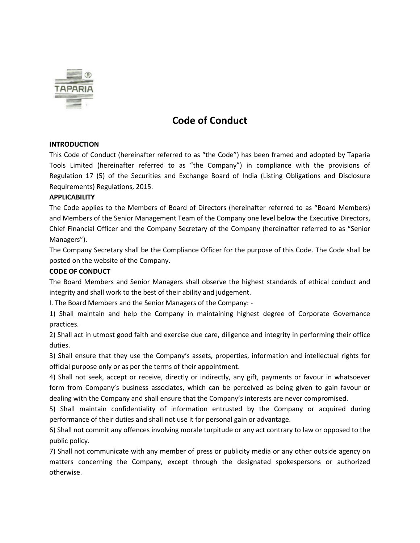

## **Code of Conduct**

## **INTRODUCTION**

This Code of Conduct (hereinafter referred to as "the Code") has been framed and adopted by Taparia Tools Limited (hereinafter referred to as "the Company") in compliance with the provisions of Regulation 17 (5) of the Securities and Exchange Board of India (Listing Obligations and Disclosure Requirements) Regulations, 2015.

## **APPLICABILITY**

The Code applies to the Members of Board of Directors (hereinafter referred to as "Board Members) and Members of the Senior Management Team of the Company one level below the Executive Directors, Chief Financial Officer and the Company Secretary of the Company (hereinafter referred to as "Senior Managers").

The Company Secretary shall be the Compliance Officer for the purpose of this Code. The Code shall be posted on the website of the Company.

## **CODE OF CONDUCT**

The Board Members and Senior Managers shall observe the highest standards of ethical conduct and integrity and shall work to the best of their ability and judgement.

I. The Board Members and the Senior Managers of the Company: -

1) Shall maintain and help the Company in maintaining highest degree of Corporate Governance practices.

2) Shall act in utmost good faith and exercise due care, diligence and integrity in performing their office duties.

3) Shall ensure that they use the Company's assets, properties, information and intellectual rights for official purpose only or as per the terms of their appointment.

4) Shall not seek, accept or receive, directly or indirectly, any gift, payments or favour in whatsoever form from Company's business associates, which can be perceived as being given to gain favour or dealing with the Company and shall ensure that the Company's interests are never compromised.

5) Shall maintain confidentiality of information entrusted by the Company or acquired during performance of their duties and shall not use it for personal gain or advantage.

6) Shall not commit any offences involving morale turpitude or any act contrary to law or opposed to the public policy.

7) Shall not communicate with any member of press or publicity media or any other outside agency on matters concerning the Company, except through the designated spokespersons or authorized otherwise.